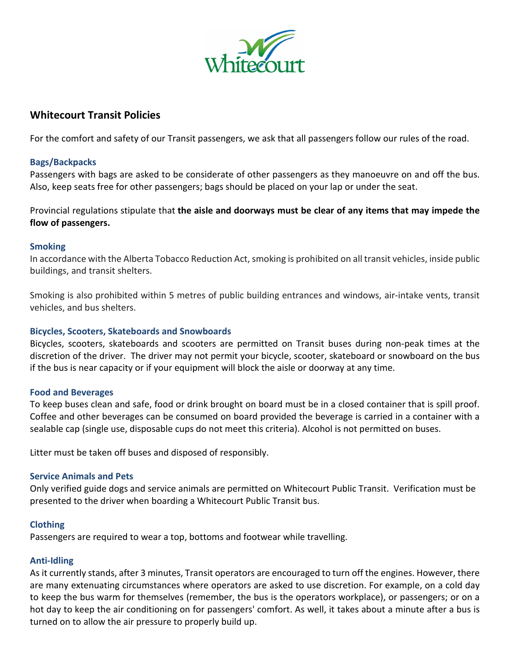

# **Whitecourt Transit Policies**

For the comfort and safety of our Transit passengers, we ask that all passengers follow our rules of the road.

### **Bags/Backpacks**

Passengers with bags are asked to be considerate of other passengers as they manoeuvre on and off the bus. Also, keep seats free for other passengers; bags should be placed on your lap or under the seat.

Provincial regulations stipulate that **the aisle and doorways must be clear of any items that may impede the flow of passengers.**

#### **Smoking**

In accordance with the Alberta Tobacco Reduction Act, smoking is prohibited on all transit vehicles, inside public buildings, and transit shelters.

Smoking is also prohibited within 5 metres of public building entrances and windows, air-intake vents, transit vehicles, and bus shelters.

## **Bicycles, Scooters, Skateboards and Snowboards**

Bicycles, scooters, skateboards and scooters are permitted on Transit buses during non-peak times at the discretion of the driver. The driver may not permit your bicycle, scooter, skateboard or snowboard on the bus if the bus is near capacity or if your equipment will block the aisle or doorway at any time.

#### **Food and Beverages**

To keep buses clean and safe, food or drink brought on board must be in a closed container that is spill proof. Coffee and other beverages can be consumed on board provided the beverage is carried in a container with a sealable cap (single use, disposable cups do not meet this criteria). Alcohol is not permitted on buses.

Litter must be taken off buses and disposed of responsibly.

#### **Service Animals and Pets**

Only verified guide dogs and service animals are permitted on Whitecourt Public Transit. Verification must be presented to the driver when boarding a Whitecourt Public Transit bus.

#### **Clothing**

Passengers are required to wear a top, bottoms and footwear while travelling.

#### **Anti-Idling**

As it currently stands, after 3 minutes, Transit operators are encouraged to turn off the engines. However, there are many extenuating circumstances where operators are asked to use discretion. For example, on a cold day to keep the bus warm for themselves (remember, the bus is the operators workplace), or passengers; or on a hot day to keep the air conditioning on for passengers' comfort. As well, it takes about a minute after a bus is turned on to allow the air pressure to properly build up.